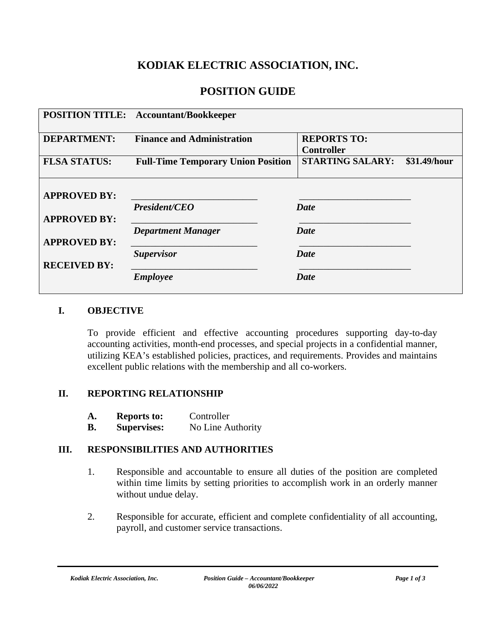# **KODIAK ELECTRIC ASSOCIATION, INC.**

# **POSITION GUIDE**

|                                            | <b>POSITION TITLE:</b> Accountant/Bookkeeper |                                         |
|--------------------------------------------|----------------------------------------------|-----------------------------------------|
| <b>DEPARTMENT:</b>                         | <b>Finance and Administration</b>            | <b>REPORTS TO:</b><br><b>Controller</b> |
| <b>FLSA STATUS:</b>                        | <b>Full-Time Temporary Union Position</b>    | <b>STARTING SALARY:</b><br>\$31.49/hour |
| <b>APPROVED BY:</b>                        |                                              |                                         |
| <b>APPROVED BY:</b>                        | President/CEO                                | <b>Date</b>                             |
|                                            | <b>Department Manager</b>                    | <b>Date</b>                             |
| <b>APPROVED BY:</b><br><b>RECEIVED BY:</b> | <b>Supervisor</b>                            | <b>Date</b>                             |
|                                            | <b>Employee</b>                              | <b>Date</b>                             |

### **I. OBJECTIVE**

To provide efficient and effective accounting procedures supporting day-to-day accounting activities, month-end processes, and special projects in a confidential manner, utilizing KEA's established policies, practices, and requirements. Provides and maintains excellent public relations with the membership and all co-workers.

### **II. REPORTING RELATIONSHIP**

| A. | <b>Reports to:</b> | Controller |  |
|----|--------------------|------------|--|
|    |                    |            |  |

**B. Supervises:** No Line Authority

## **III. RESPONSIBILITIES AND AUTHORITIES**

- 1. Responsible and accountable to ensure all duties of the position are completed within time limits by setting priorities to accomplish work in an orderly manner without undue delay.
- 2. Responsible for accurate, efficient and complete confidentiality of all accounting, payroll, and customer service transactions.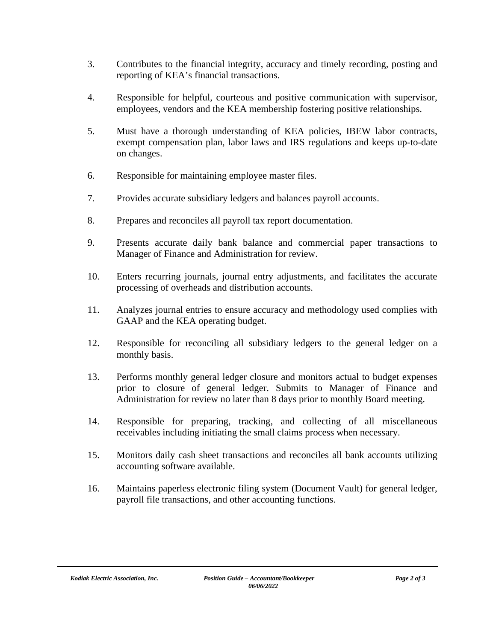- 3. Contributes to the financial integrity, accuracy and timely recording, posting and reporting of KEA's financial transactions.
- 4. Responsible for helpful, courteous and positive communication with supervisor, employees, vendors and the KEA membership fostering positive relationships.
- 5. Must have a thorough understanding of KEA policies, IBEW labor contracts, exempt compensation plan, labor laws and IRS regulations and keeps up-to-date on changes.
- 6. Responsible for maintaining employee master files.
- 7. Provides accurate subsidiary ledgers and balances payroll accounts.
- 8. Prepares and reconciles all payroll tax report documentation.
- 9. Presents accurate daily bank balance and commercial paper transactions to Manager of Finance and Administration for review.
- 10. Enters recurring journals, journal entry adjustments, and facilitates the accurate processing of overheads and distribution accounts.
- 11. Analyzes journal entries to ensure accuracy and methodology used complies with GAAP and the KEA operating budget.
- 12. Responsible for reconciling all subsidiary ledgers to the general ledger on a monthly basis.
- 13. Performs monthly general ledger closure and monitors actual to budget expenses prior to closure of general ledger. Submits to Manager of Finance and Administration for review no later than 8 days prior to monthly Board meeting.
- 14. Responsible for preparing, tracking, and collecting of all miscellaneous receivables including initiating the small claims process when necessary.
- 15. Monitors daily cash sheet transactions and reconciles all bank accounts utilizing accounting software available.
- 16. Maintains paperless electronic filing system (Document Vault) for general ledger, payroll file transactions, and other accounting functions.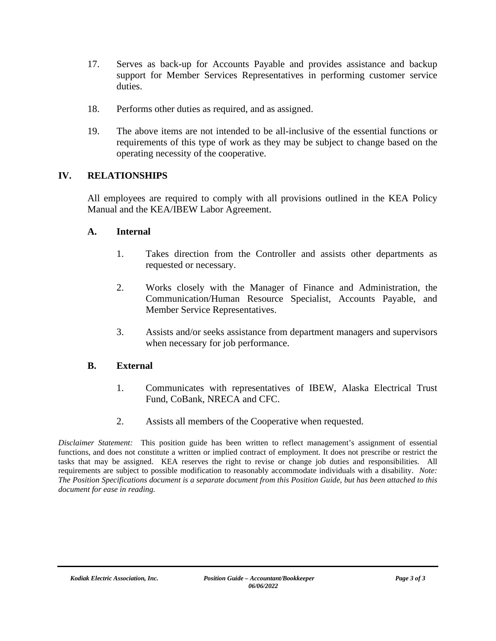- 17. Serves as back-up for Accounts Payable and provides assistance and backup support for Member Services Representatives in performing customer service duties.
- 18. Performs other duties as required, and as assigned.
- 19. The above items are not intended to be all-inclusive of the essential functions or requirements of this type of work as they may be subject to change based on the operating necessity of the cooperative.

## **IV. RELATIONSHIPS**

All employees are required to comply with all provisions outlined in the KEA Policy Manual and the KEA/IBEW Labor Agreement.

### **A. Internal**

- 1. Takes direction from the Controller and assists other departments as requested or necessary.
- 2. Works closely with the Manager of Finance and Administration, the Communication/Human Resource Specialist, Accounts Payable, and Member Service Representatives.
- 3. Assists and/or seeks assistance from department managers and supervisors when necessary for job performance.

### **B. External**

- 1. Communicates with representatives of IBEW, Alaska Electrical Trust Fund, CoBank, NRECA and CFC.
- 2. Assists all members of the Cooperative when requested.

*Disclaimer Statement:* This position guide has been written to reflect management's assignment of essential functions, and does not constitute a written or implied contract of employment. It does not prescribe or restrict the tasks that may be assigned. KEA reserves the right to revise or change job duties and responsibilities. All requirements are subject to possible modification to reasonably accommodate individuals with a disability. *Note: The Position Specifications document is a separate document from this Position Guide, but has been attached to this document for ease in reading.*